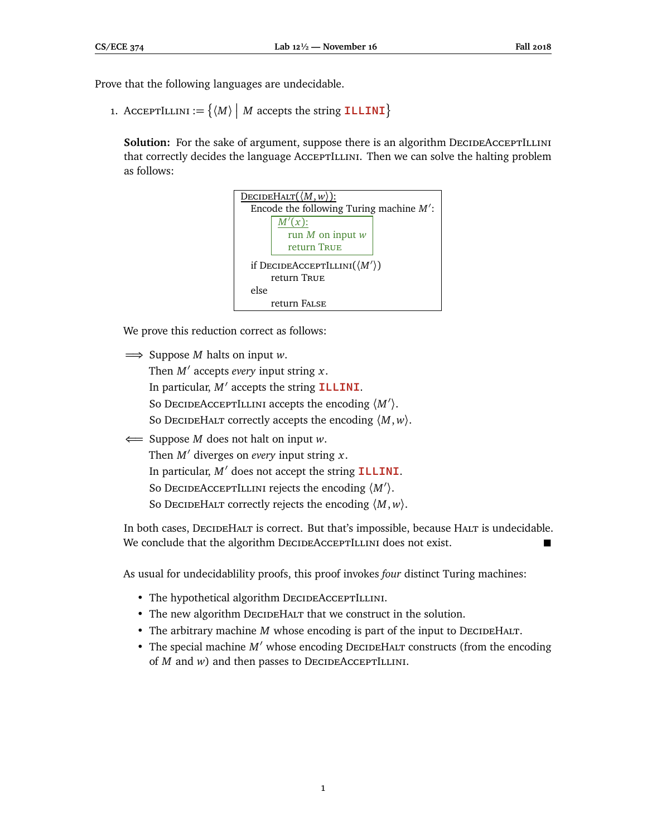Prove that the following languages are undecidable.

1. AcceptILLINI :=  $\{ \langle M \rangle \mid M \text{ accepts the string **ILLINI} \}**$ 

**Solution:** For the sake of argument, suppose there is an algorithm DECIDEACCEPTILLINI that correctly decides the language AccEPTILLINI. Then we can solve the halting problem as follows:



We prove this reduction correct as follows:

=⇒ Suppose *M* halts on input *w*. Then *M*<sup>0</sup> accepts *every* input string *x*. In particular, *M'* accepts the string **ILLINI**. So DECIDEACCEPTILLINI accepts the encoding  $\langle M' \rangle$ . So DecideHalt correctly accepts the encoding  $\langle M, w \rangle$ . ⇐= Suppose *M* does not halt on input *w*.

Then  $M'$  diverges on *every* input string  $x$ . In particular,  $M'$  does not accept the string **ILLINI**. So DECIDEACCEPTILLINI rejects the encoding  $\langle M' \rangle$ . So DecideHalt correctly rejects the encoding  $\langle M, w \rangle$ .

In both cases, DECIDEHALT is correct. But that's impossible, because HALT is undecidable. We conclude that the algorithm DECIDEACCEPTILLINI does not exist.

As usual for undecidablility proofs, this proof invokes *four* distinct Turing machines:

- The hypothetical algorithm DECIDEACCEPTILLINI.
- The new algorithm DECIDEHALT that we construct in the solution.
- The arbitrary machine *M* whose encoding is part of the input to DECIDEHALT.
- The special machine *M'* whose encoding DECIDEHALT constructs (from the encoding of *M* and *w*) and then passes to DECIDEACCEPTILLINI.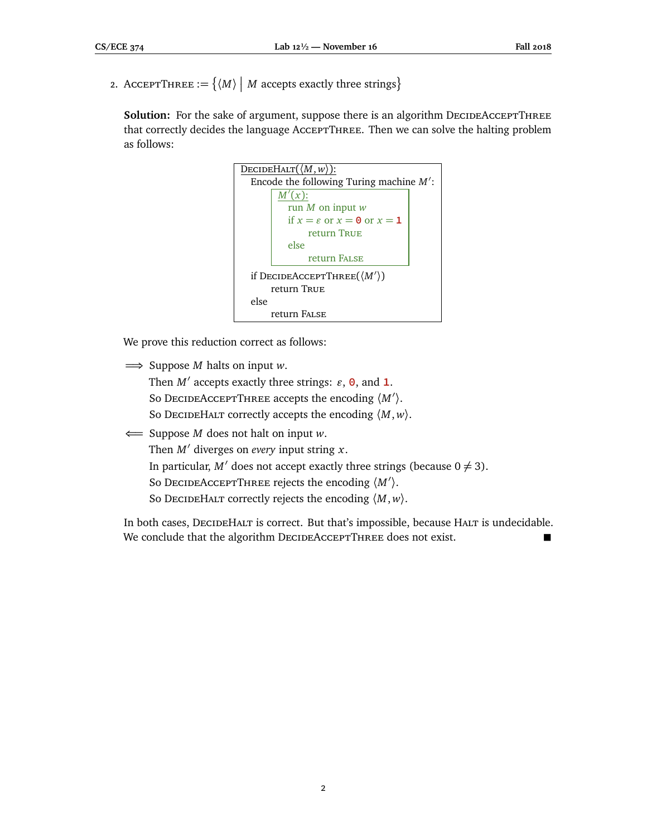2. AcceptThree  $:= \{ \langle M \rangle \mid M \text{ accepts exactly three strings} \}$ 

**Solution:** For the sake of argument, suppose there is an algorithm DECIDEACCEPTTHREE that correctly decides the language AcceptThree. Then we can solve the halting problem as follows:

```
\overline{\text{DECIDEHALT}(\langle M, w \rangle)}:
 Encode the following Turing machine M':
        M'(x):
          run M on input w
          if x = \varepsilon or x = 0 or x = 1return True
          else
                return False
 if DecideAcceptThree(\langle M' \rangle)
      return True
else
      return False
```
We prove this reduction correct as follows:

=⇒ Suppose *M* halts on input *w*.

Then  $M'$  accepts exactly three strings:  $\varepsilon$ ,  $\theta$ , and **1**. So DECIDEACCEPTTHREE accepts the encoding  $\langle M' \rangle$ . So DecideHalt correctly accepts the encoding  $\langle M, w \rangle$ .

⇐= Suppose *M* does not halt on input *w*. Then  $M'$  diverges on *every* input string  $x$ . In particular, *M'* does not accept exactly three strings (because  $0 \neq 3$ ). So DECIDEACCEPTTHREE rejects the encoding  $\langle M' \rangle$ . So DecideHalt correctly rejects the encoding  $\langle M, w \rangle$ .

In both cases, DECIDEHALT is correct. But that's impossible, because HALT is undecidable. We conclude that the algorithm DECIDEACCEPTTHREE does not exist.